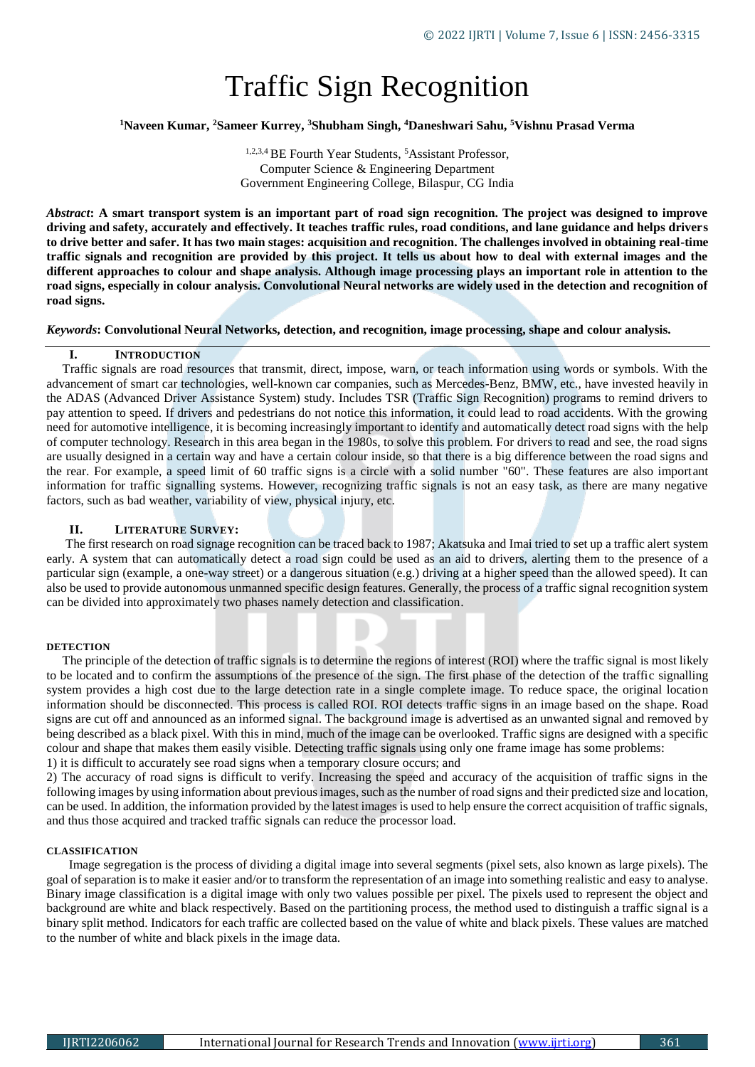# Traffic Sign Recognition

### **<sup>1</sup>Naveen Kumar, <sup>2</sup>Sameer Kurrey, <sup>3</sup>Shubham Singh, <sup>4</sup>Daneshwari Sahu, <sup>5</sup>Vishnu Prasad Verma**

<sup>1,2,3,4</sup> BE Fourth Year Students, <sup>5</sup>Assistant Professor, Computer Science & Engineering Department Government Engineering College, Bilaspur, CG India

*Abstract***: A smart transport system is an important part of road sign recognition. The project was designed to improve driving and safety, accurately and effectively. It teaches traffic rules, road conditions, and lane guidance and helps drivers to drive better and safer. It has two main stages: acquisition and recognition. The challenges involved in obtaining real-time traffic signals and recognition are provided by this project. It tells us about how to deal with external images and the different approaches to colour and shape analysis. Although image processing plays an important role in attention to the road signs, especially in colour analysis. Convolutional Neural networks are widely used in the detection and recognition of road signs.**

*Keywords***: Convolutional Neural Networks, detection, and recognition, image processing, shape and colour analysis.**

### **I. INTRODUCTION**

 Traffic signals are road resources that transmit, direct, impose, warn, or teach information using words or symbols. With the advancement of smart car technologies, well-known car companies, such as Mercedes-Benz, BMW, etc., have invested heavily in the ADAS (Advanced Driver Assistance System) study. Includes TSR (Traffic Sign Recognition) programs to remind drivers to pay attention to speed. If drivers and pedestrians do not notice this information, it could lead to road accidents. With the growing need for automotive intelligence, it is becoming increasingly important to identify and automatically detect road signs with the help of computer technology. Research in this area began in the 1980s, to solve this problem. For drivers to read and see, the road signs are usually designed in a certain way and have a certain colour inside, so that there is a big difference between the road signs and the rear. For example, a speed limit of 60 traffic signs is a circle with a solid number "60". These features are also important information for traffic signalling systems. However, recognizing traffic signals is not an easy task, as there are many negative factors, such as bad weather, variability of view, physical injury, etc.

#### **II. LITERATURE SURVEY:**

 The first research on road signage recognition can be traced back to 1987; Akatsuka and Imai tried to set up a traffic alert system early. A system that can automatically detect a road sign could be used as an aid to drivers, alerting them to the presence of a particular sign (example, a one-way street) or a dangerous situation (e.g.) driving at a higher speed than the allowed speed). It can also be used to provide autonomous unmanned specific design features. Generally, the process of a traffic signal recognition system can be divided into approximately two phases namely detection and classification.

#### **DETECTION**

The principle of the detection of traffic signals is to determine the regions of interest (ROI) where the traffic signal is most likely to be located and to confirm the assumptions of the presence of the sign. The first phase of the detection of the traffic signalling system provides a high cost due to the large detection rate in a single complete image. To reduce space, the original location information should be disconnected. This process is called ROI. ROI detects traffic signs in an image based on the shape. Road signs are cut off and announced as an informed signal. The background image is advertised as an unwanted signal and removed by being described as a black pixel. With this in mind, much of the image can be overlooked. Traffic signs are designed with a specific colour and shape that makes them easily visible. Detecting traffic signals using only one frame image has some problems: 1) it is difficult to accurately see road signs when a temporary closure occurs; and

2) The accuracy of road signs is difficult to verify. Increasing the speed and accuracy of the acquisition of traffic signs in the following images by using information about previous images, such as the number of road signs and their predicted size and location, can be used. In addition, the information provided by the latest images is used to help ensure the correct acquisition of traffic signals, and thus those acquired and tracked traffic signals can reduce the processor load.

#### **CLASSIFICATION**

 Image segregation is the process of dividing a digital image into several segments (pixel sets, also known as large pixels). The goal of separation is to make it easier and/or to transform the representation of an image into something realistic and easy to analyse. Binary image classification is a digital image with only two values possible per pixel. The pixels used to represent the object and background are white and black respectively. Based on the partitioning process, the method used to distinguish a traffic signal is a binary split method. Indicators for each traffic are collected based on the value of white and black pixels. These values are matched to the number of white and black pixels in the image data.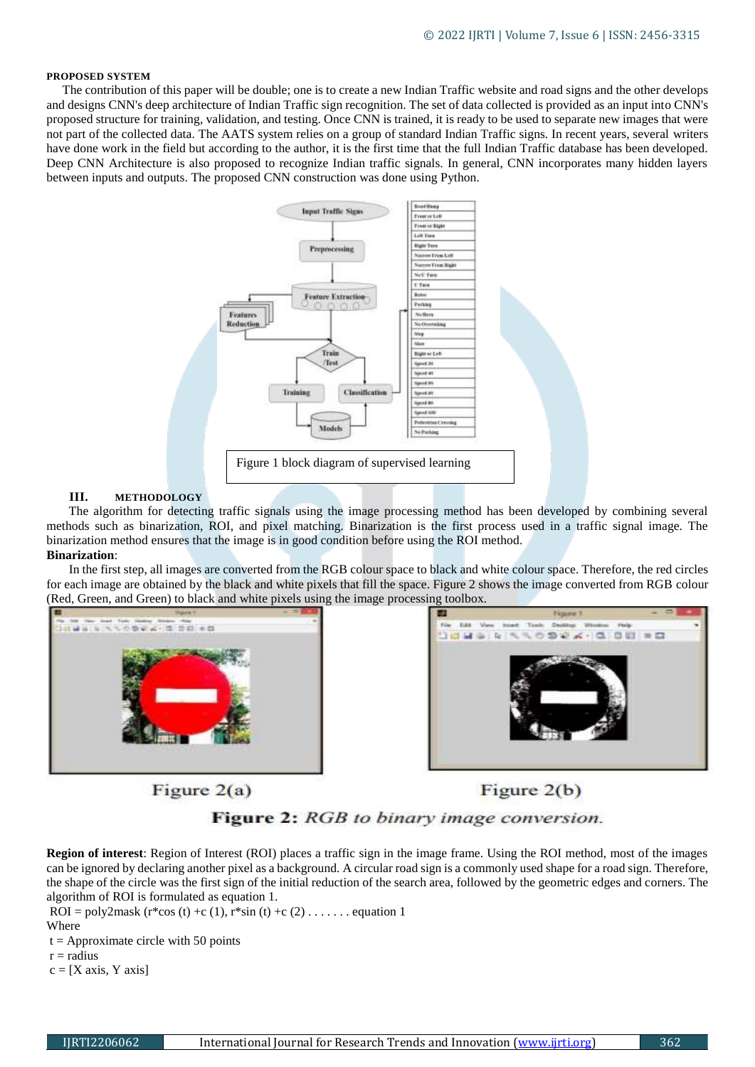#### **PROPOSED SYSTEM**

 The contribution of this paper will be double; one is to create a new Indian Traffic website and road signs and the other develops and designs CNN's deep architecture of Indian Traffic sign recognition. The set of data collected is provided as an input into CNN's proposed structure for training, validation, and testing. Once CNN is trained, it is ready to be used to separate new images that were not part of the collected data. The AATS system relies on a group of standard Indian Traffic signs. In recent years, several writers have done work in the field but according to the author, it is the first time that the full Indian Traffic database has been developed. Deep CNN Architecture is also proposed to recognize Indian traffic signals. In general, CNN incorporates many hidden layers between inputs and outputs. The proposed CNN construction was done using Python.



#### **III. METHODOLOGY**

 The algorithm for detecting traffic signals using the image processing method has been developed by combining several methods such as binarization, ROI, and pixel matching. Binarization is the first process used in a traffic signal image. The binarization method ensures that the image is in good condition before using the ROI method. **Binarization**:

 In the first step, all images are converted from the RGB colour space to black and white colour space. Therefore, the red circles for each image are obtained by the black and white pixels that fill the space. Figure 2 shows the image converted from RGB colour (Red, Green, and Green) to black and white pixels using the image processing toolbox.



30663 10994-00000 2.462

Figure  $2(a)$ 

Figure  $2(b)$ 



**Region of interest**: Region of Interest (ROI) places a traffic sign in the image frame. Using the ROI method, most of the images can be ignored by declaring another pixel as a background. A circular road sign is a commonly used shape for a road sign. Therefore, the shape of the circle was the first sign of the initial reduction of the search area, followed by the geometric edges and corners. The algorithm of ROI is formulated as equation 1.

 $ROI = poly2mask (r * cos (t) + c (1), r * sin (t) + c (2) . . . . . . . equation 1$ 

**Where** 

 $t =$  Approximate circle with 50 points

 $r =$  radius

 $c = [X axis, Y axis]$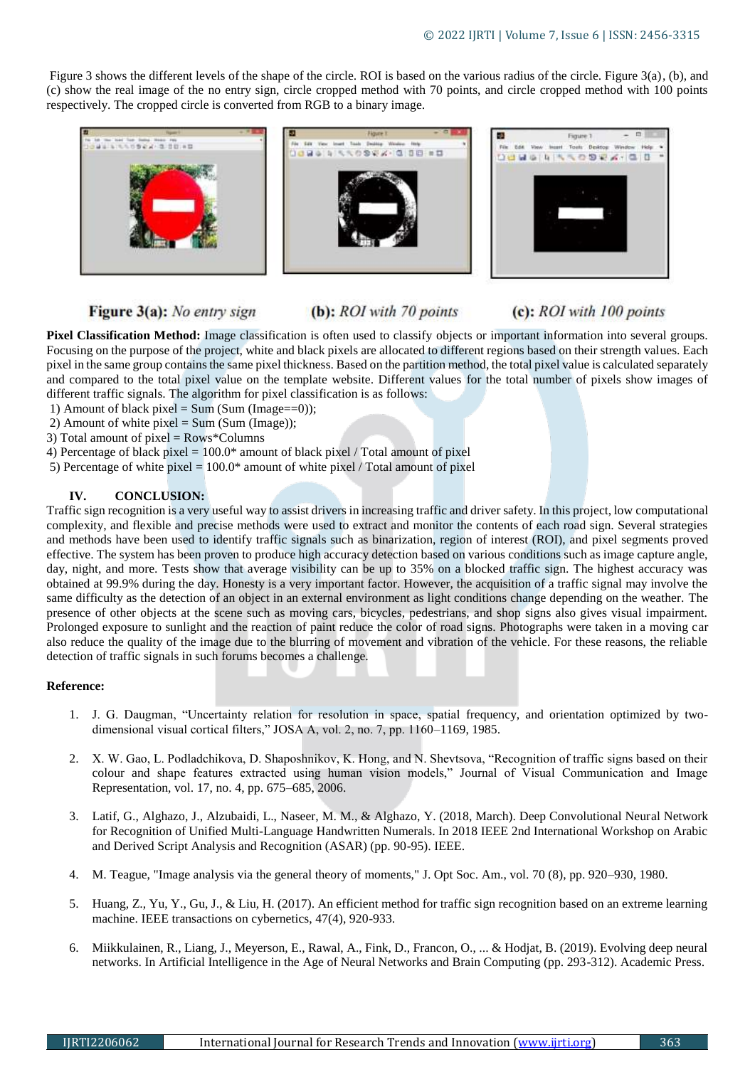Figure 3 shows the different levels of the shape of the circle. ROI is based on the various radius of the circle. Figure 3(a), (b), and (c) show the real image of the no entry sign, circle cropped method with 70 points, and circle cropped method with 100 points respectively. The cropped circle is converted from RGB to a binary image.

| Ð<br>もにたち含むよう型(日)の型 | Figure 1          | Figure 1<br>File Edit View front Tools Desktop Window Help |
|---------------------|-------------------|------------------------------------------------------------|
|                     | 0803330924-000010 | DUMO 4 5 5 0 9 2 4 - 0 0 -                                 |

## Figure 3(a): No entry sign

(b): ROI with 70 points

# (c): ROI with 100 points

**Pixel Classification Method:** Image classification is often used to classify objects or important information into several groups. Focusing on the purpose of the project, white and black pixels are allocated to different regions based on their strength values. Each pixel in the same group contains the same pixel thickness. Based on the partition method, the total pixel value is calculated separately and compared to the total pixel value on the template website. Different values for the total number of pixels show images of different traffic signals. The algorithm for pixel classification is as follows:

- 1) Amount of black pixel = Sum (Sum (Image==0));
- 2) Amount of white pixel =  $Sum (Sum (Image))$ ;

3) Total amount of pixel = Rows\*Columns

- 4) Percentage of black pixel =  $100.0*$  amount of black pixel / Total amount of pixel
- 5) Percentage of white pixel  $= 100.0*$  amount of white pixel / Total amount of pixel

## **IV. CONCLUSION:**

Traffic sign recognition is a very useful way to assist drivers in increasing traffic and driver safety. In this project, low computational complexity, and flexible and precise methods were used to extract and monitor the contents of each road sign. Several strategies and methods have been used to identify traffic signals such as binarization, region of interest (ROI), and pixel segments proved effective. The system has been proven to produce high accuracy detection based on various conditions such as image capture angle, day, night, and more. Tests show that average visibility can be up to 35% on a blocked traffic sign. The highest accuracy was obtained at 99.9% during the day. Honesty is a very important factor. However, the acquisition of a traffic signal may involve the same difficulty as the detection of an object in an external environment as light conditions change depending on the weather. The presence of other objects at the scene such as moving cars, bicycles, pedestrians, and shop signs also gives visual impairment. Prolonged exposure to sunlight and the reaction of paint reduce the color of road signs. Photographs were taken in a moving car also reduce the quality of the image due to the blurring of movement and vibration of the vehicle. For these reasons, the reliable detection of traffic signals in such forums becomes a challenge.

### **Reference:**

- 1. J. G. Daugman, "Uncertainty relation for resolution in space, spatial frequency, and orientation optimized by twodimensional visual cortical filters," JOSA A, vol. 2, no. 7, pp. 1160–1169, 1985.
- 2. X. W. Gao, L. Podladchikova, D. Shaposhnikov, K. Hong, and N. Shevtsova, "Recognition of traffic signs based on their colour and shape features extracted using human vision models," Journal of Visual Communication and Image Representation, vol. 17, no. 4, pp. 675–685, 2006.
- 3. Latif, G., Alghazo, J., Alzubaidi, L., Naseer, M. M., & Alghazo, Y. (2018, March). Deep Convolutional Neural Network for Recognition of Unified Multi-Language Handwritten Numerals. In 2018 IEEE 2nd International Workshop on Arabic and Derived Script Analysis and Recognition (ASAR) (pp. 90-95). IEEE.
- 4. M. Teague, "Image analysis via the general theory of moments," J. Opt Soc. Am., vol. 70 (8), pp. 920–930, 1980.
- 5. Huang, Z., Yu, Y., Gu, J., & Liu, H. (2017). An efficient method for traffic sign recognition based on an extreme learning machine. IEEE transactions on cybernetics, 47(4), 920-933.
- 6. Miikkulainen, R., Liang, J., Meyerson, E., Rawal, A., Fink, D., Francon, O., ... & Hodjat, B. (2019). Evolving deep neural networks. In Artificial Intelligence in the Age of Neural Networks and Brain Computing (pp. 293-312). Academic Press.